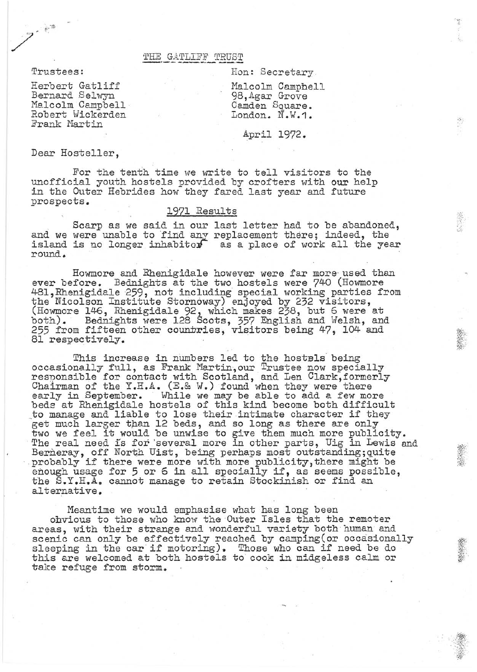### THE GATLIFF TRUST

Trustees:

.. ..,

/ \_ 1';

Herbert Gatliff Bernard Selwyn Malcolm Campbell<br>Robert Wickerden Frank Martin

Hon: Secretary

Malcolm Camphell 9B,Agar Grove Camden Square. London. N.W.1.

## April 1972.

Dear Hosteller,

For the tenth time we write to tell visitors to the unofficial youth hostels provided by crofters with our help in the Outer Hebrides how they fared last year and future prospects.

# 1971 Results

Scarp as we said in our last letter had to be abandoned, and we were unable to find any replacement there; indeed, the island is no longer inhabitor as a place of work all the year round.

Howmore and Rhenigidale however were far more· used than ever before. Bednights at the two hostels were 740 (Howmore 481 , Rhenigidale 259, not including special working parties from the Nicolson Institute Stornoway) enjoyed by 232 visitors, (Howmore 146, Rhenigidale 92, which makes 238, but 6 were at both). Bednights were 128 Scots, 357 English and Welsh, and 255 from fifteen other countries, visitors being 47, 104 and 81 respectively.

This increase in numbers led to the hostels being<br>occasionally full, as Frank Martin, our Trustee now specially<br>responsible for contact with Scotland, and Len Clark, formerly<br>Chairman of the Y.H.A. (E.& W.) found when they early in September. While we may be able to add a few more beds at Rhenigidale hostels of this kind become both difficult to manage and liable to lose their intimate character if they get much larger than 12 beds, and so long as there are only get much larger than 12 beas, and so long as there are only<br>two we feel it would be unwise to give them much more publicity.<br>The real need is for several more in other parts, Uig in Lewis and Berneray, off North Uist, being perhaps most outstanding;quite probably if there were more with more publicity, there might be probably if there were more with more publicity, there might be enough usage for 5 or 6 in all specially if, as seems possible, the S.Y.H.A. cannot manage to retain Stockinish or find an alternative.

Meantime we would emphasise what has long been ohvious to those who know the Outer Isles that the remoter areas, with their strange and wonderful variety both human and scenic can only be effectively reached by camping (or occasionally sleeping in the car if motoring). Those who can if need be do this are welcomed at both hostels to cook in midgeless calm or take refuge from storm.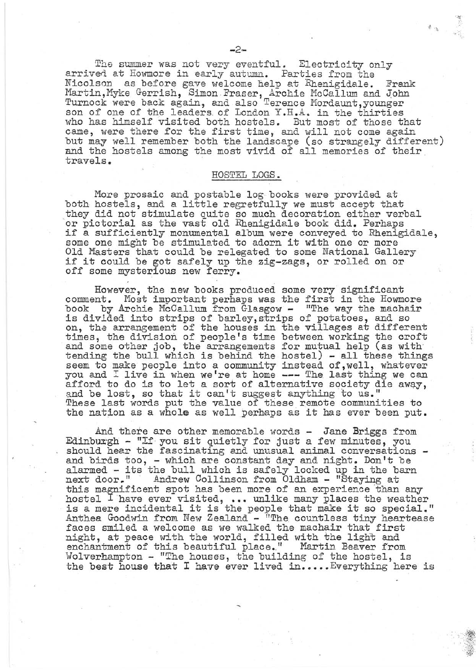The summer was not very eventful. Electricity only arrived at Howmore in early autumn. Parties from the Nicolson as before gave welcome help at Rhenigidale. Frank Martin, Myke Gerrish, Simon Fraser, Archie McCallum and John Turnock were back again, and also Terence Mordaunt, younger son of one of the leaders of London Y.H.A. in the thirties who has himself visited both hostels. But most of those that came, were there for the first time, and will not come again but may well remember both the landscape (so strangely different) and the hostels among the most vivid of all memories of their travels.

#### HOSTEL **LOGS.**

More prosaic and postable log books were provided at both hostels, and a little regretfully we must accept that they did not stimulate quite so much decoration either verbal or pictorial as the vast old Rhenigidale book did. Perhaps if a sufficiently monumental album were conveyed to Rhenigidale, some one might be stimulated to adorn it with one or more Old Masters that could be relegated to some National Gallery if it could be got safely up the zig-zags, or rolled on or off some mysterious new ferry.

However, the new books produced some very significant comment. Most important perhaps was the first in the Howmore book by Archie McCallum from Glasgow - "The way the machair is divided into strips of barley,strips of potatoes, and so on, the arrangement of the houses in the villages at different times, the division of people's time between working the croft 'and some other job, the arrangements for mutual help (as with and some ovner job, the arrangements for matter herp (as wront seem to make people into a community instead of , well, whatever you and I live in when we're at home --- The last thing we can afford to do is to let a sort of alternative society die away, and be lost, so that it can't suggest anything to us."<br>and be lost, so that it can't suggest anything to us." These last words put the value of these remote communities to the nation as a whole as well perhaps as it has ever been put.

And there are other memorable words - Jane Briggs from Edinburgh - "If you sit quietly for just a few minutes, you should hear the fascinating and unusual animal conversations should hear the fascinating and unusual animal conversations - and birds too, - which are constant day and night. Don't be alarmed - its the bull which is safely locked up in the barn alahmed - Its the built which is safely locked up in the bear collinson from Oldham - "Staying at this magnificent spot has been more of an experience than any hostel I have ever visited, ... unlike many places the weather is a mere incidental it is the people that make it so special." Anthea Goodwin from New Zealand - "The countless tiny heartease faces smiled a welcome as we walked the machair that first night, at peace with the world, filled with the light and enchantment of this beautiful place." Martin Beaver from Wolverhampton - "The houses, the building of the hostel, is the best house that I have ever lived in..... Everything here is